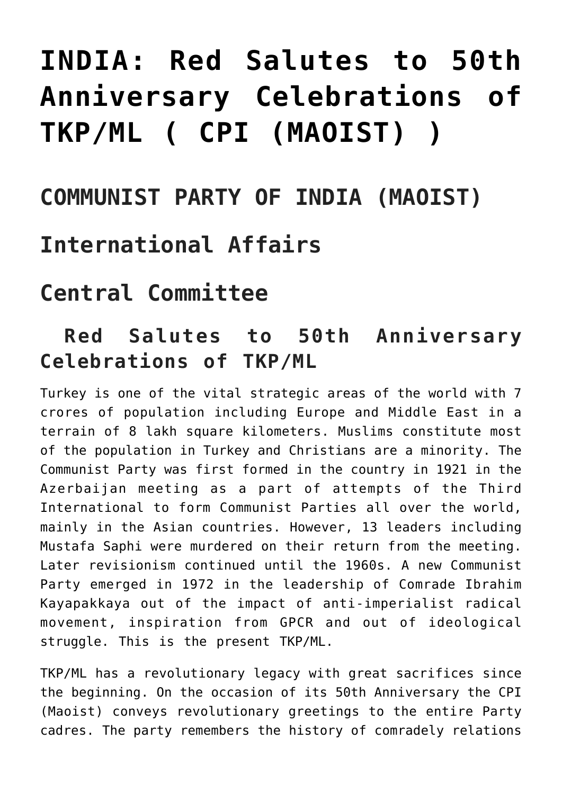# **[INDIA: Red Salutes to 50th](https://ci-ic.org/blog/2022/03/25/india-red-salutes-to-50th-anniversary-celebrations-of-tkp-ml-cpi-maoist/) [Anniversary Celebrations of](https://ci-ic.org/blog/2022/03/25/india-red-salutes-to-50th-anniversary-celebrations-of-tkp-ml-cpi-maoist/) [TKP/ML \( CPI \(MAOIST\) \)](https://ci-ic.org/blog/2022/03/25/india-red-salutes-to-50th-anniversary-celebrations-of-tkp-ml-cpi-maoist/)**

## **COMMUNIST PARTY OF INDIA (MAOIST)**

### **International Affairs**

# **Central Committee**

#### **Red Salutes to 50th Anniversary Celebrations of TKP/ML**

Turkey is one of the vital strategic areas of the world with 7 crores of population including Europe and Middle East in a terrain of 8 lakh square kilometers. Muslims constitute most of the population in Turkey and Christians are a minority. The Communist Party was first formed in the country in 1921 in the Azerbaijan meeting as a part of attempts of the Third International to form Communist Parties all over the world, mainly in the Asian countries. However, 13 leaders including Mustafa Saphi were murdered on their return from the meeting. Later revisionism continued until the 1960s. A new Communist Party emerged in 1972 in the leadership of Comrade Ibrahim Kayapakkaya out of the impact of anti-imperialist radical movement, inspiration from GPCR and out of ideological struggle. This is the present TKP/ML.

TKP/ML has a revolutionary legacy with great sacrifices since the beginning. On the occasion of its 50th Anniversary the CPI (Maoist) conveys revolutionary greetings to the entire Party cadres. The party remembers the history of comradely relations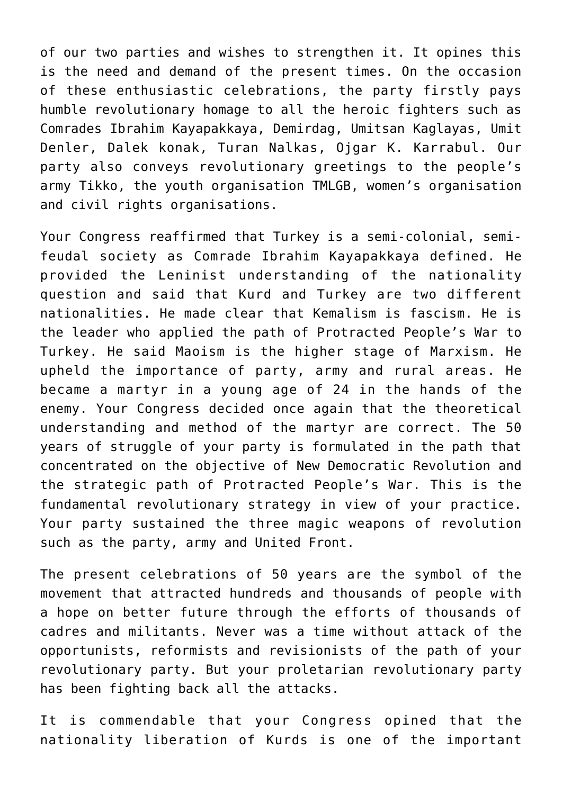of our two parties and wishes to strengthen it. It opines this is the need and demand of the present times. On the occasion of these enthusiastic celebrations, the party firstly pays humble revolutionary homage to all the heroic fighters such as Comrades Ibrahim Kayapakkaya, Demirdag, Umitsan Kaglayas, Umit Denler, Dalek konak, Turan Nalkas, Ojgar K. Karrabul. Our party also conveys revolutionary greetings to the people's army Tikko, the youth organisation TMLGB, women's organisation and civil rights organisations.

Your Congress reaffirmed that Turkey is a semi-colonial, semifeudal society as Comrade Ibrahim Kayapakkaya defined. He provided the Leninist understanding of the nationality question and said that Kurd and Turkey are two different nationalities. He made clear that Kemalism is fascism. He is the leader who applied the path of Protracted People's War to Turkey. He said Maoism is the higher stage of Marxism. He upheld the importance of party, army and rural areas. He became a martyr in a young age of 24 in the hands of the enemy. Your Congress decided once again that the theoretical understanding and method of the martyr are correct. The 50 years of struggle of your party is formulated in the path that concentrated on the objective of New Democratic Revolution and the strategic path of Protracted People's War. This is the fundamental revolutionary strategy in view of your practice. Your party sustained the three magic weapons of revolution such as the party, army and United Front.

The present celebrations of 50 years are the symbol of the movement that attracted hundreds and thousands of people with a hope on better future through the efforts of thousands of cadres and militants. Never was a time without attack of the opportunists, reformists and revisionists of the path of your revolutionary party. But your proletarian revolutionary party has been fighting back all the attacks.

It is commendable that your Congress opined that the nationality liberation of Kurds is one of the important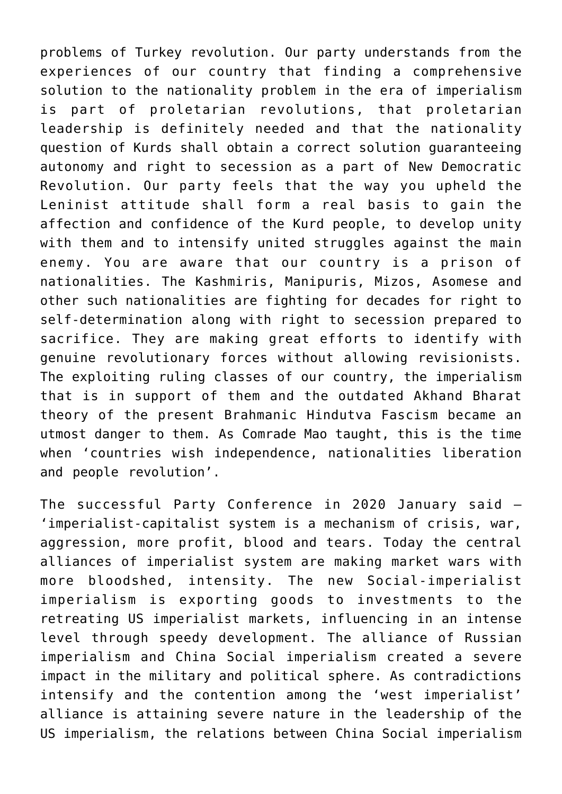problems of Turkey revolution. Our party understands from the experiences of our country that finding a comprehensive solution to the nationality problem in the era of imperialism is part of proletarian revolutions, that proletarian leadership is definitely needed and that the nationality question of Kurds shall obtain a correct solution guaranteeing autonomy and right to secession as a part of New Democratic Revolution. Our party feels that the way you upheld the Leninist attitude shall form a real basis to gain the affection and confidence of the Kurd people, to develop unity with them and to intensify united struggles against the main enemy. You are aware that our country is a prison of nationalities. The Kashmiris, Manipuris, Mizos, Asomese and other such nationalities are fighting for decades for right to self-determination along with right to secession prepared to sacrifice. They are making great efforts to identify with genuine revolutionary forces without allowing revisionists. The exploiting ruling classes of our country, the imperialism that is in support of them and the outdated Akhand Bharat theory of the present Brahmanic Hindutva Fascism became an utmost danger to them. As Comrade Mao taught, this is the time when 'countries wish independence, nationalities liberation and people revolution'.

The successful Party Conference in 2020 January said – 'imperialist-capitalist system is a mechanism of crisis, war, aggression, more profit, blood and tears. Today the central alliances of imperialist system are making market wars with more bloodshed, intensity. The new Social-imperialist imperialism is exporting goods to investments to the retreating US imperialist markets, influencing in an intense level through speedy development. The alliance of Russian imperialism and China Social imperialism created a severe impact in the military and political sphere. As contradictions intensify and the contention among the 'west imperialist' alliance is attaining severe nature in the leadership of the US imperialism, the relations between China Social imperialism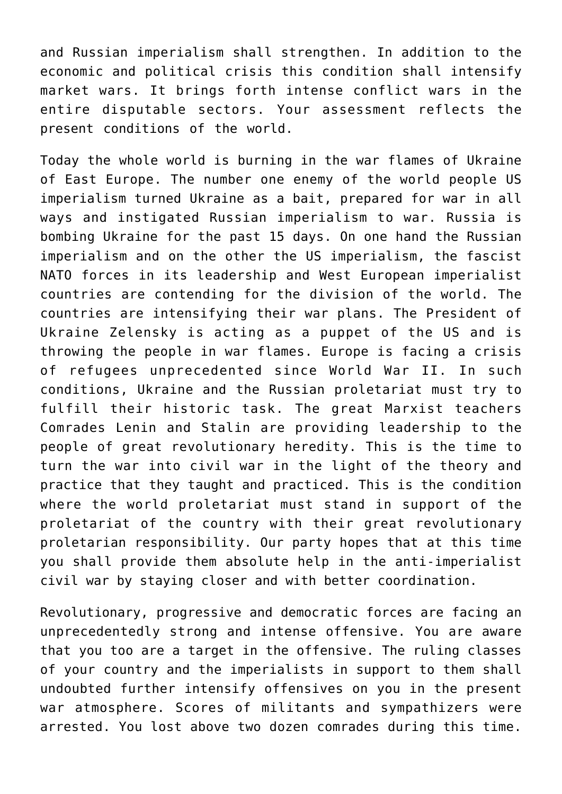and Russian imperialism shall strengthen. In addition to the economic and political crisis this condition shall intensify market wars. It brings forth intense conflict wars in the entire disputable sectors. Your assessment reflects the present conditions of the world.

Today the whole world is burning in the war flames of Ukraine of East Europe. The number one enemy of the world people US imperialism turned Ukraine as a bait, prepared for war in all ways and instigated Russian imperialism to war. Russia is bombing Ukraine for the past 15 days. On one hand the Russian imperialism and on the other the US imperialism, the fascist NATO forces in its leadership and West European imperialist countries are contending for the division of the world. The countries are intensifying their war plans. The President of Ukraine Zelensky is acting as a puppet of the US and is throwing the people in war flames. Europe is facing a crisis of refugees unprecedented since World War II. In such conditions, Ukraine and the Russian proletariat must try to fulfill their historic task. The great Marxist teachers Comrades Lenin and Stalin are providing leadership to the people of great revolutionary heredity. This is the time to turn the war into civil war in the light of the theory and practice that they taught and practiced. This is the condition where the world proletariat must stand in support of the proletariat of the country with their great revolutionary proletarian responsibility. Our party hopes that at this time you shall provide them absolute help in the anti-imperialist civil war by staying closer and with better coordination.

Revolutionary, progressive and democratic forces are facing an unprecedentedly strong and intense offensive. You are aware that you too are a target in the offensive. The ruling classes of your country and the imperialists in support to them shall undoubted further intensify offensives on you in the present war atmosphere. Scores of militants and sympathizers were arrested. You lost above two dozen comrades during this time.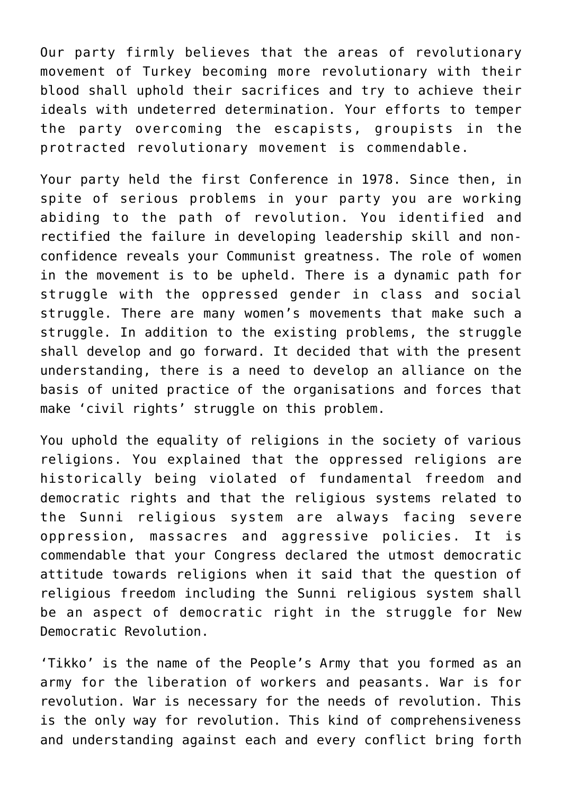Our party firmly believes that the areas of revolutionary movement of Turkey becoming more revolutionary with their blood shall uphold their sacrifices and try to achieve their ideals with undeterred determination. Your efforts to temper the party overcoming the escapists, groupists in the protracted revolutionary movement is commendable.

Your party held the first Conference in 1978. Since then, in spite of serious problems in your party you are working abiding to the path of revolution. You identified and rectified the failure in developing leadership skill and nonconfidence reveals your Communist greatness. The role of women in the movement is to be upheld. There is a dynamic path for struggle with the oppressed gender in class and social struggle. There are many women's movements that make such a struggle. In addition to the existing problems, the struggle shall develop and go forward. It decided that with the present understanding, there is a need to develop an alliance on the basis of united practice of the organisations and forces that make 'civil rights' struggle on this problem.

You uphold the equality of religions in the society of various religions. You explained that the oppressed religions are historically being violated of fundamental freedom and democratic rights and that the religious systems related to the Sunni religious system are always facing severe oppression, massacres and aggressive policies. It is commendable that your Congress declared the utmost democratic attitude towards religions when it said that the question of religious freedom including the Sunni religious system shall be an aspect of democratic right in the struggle for New Democratic Revolution.

'Tikko' is the name of the People's Army that you formed as an army for the liberation of workers and peasants. War is for revolution. War is necessary for the needs of revolution. This is the only way for revolution. This kind of comprehensiveness and understanding against each and every conflict bring forth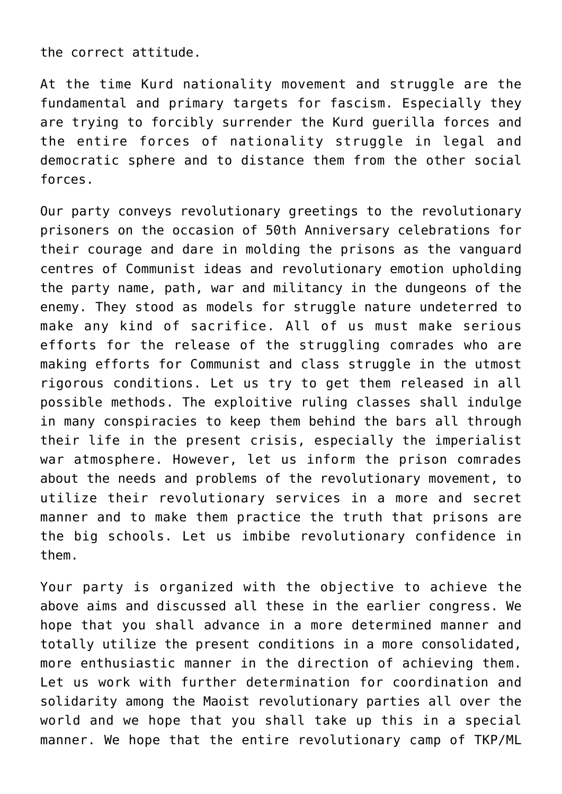the correct attitude.

At the time Kurd nationality movement and struggle are the fundamental and primary targets for fascism. Especially they are trying to forcibly surrender the Kurd guerilla forces and the entire forces of nationality struggle in legal and democratic sphere and to distance them from the other social forces.

Our party conveys revolutionary greetings to the revolutionary prisoners on the occasion of 50th Anniversary celebrations for their courage and dare in molding the prisons as the vanguard centres of Communist ideas and revolutionary emotion upholding the party name, path, war and militancy in the dungeons of the enemy. They stood as models for struggle nature undeterred to make any kind of sacrifice. All of us must make serious efforts for the release of the struggling comrades who are making efforts for Communist and class struggle in the utmost rigorous conditions. Let us try to get them released in all possible methods. The exploitive ruling classes shall indulge in many conspiracies to keep them behind the bars all through their life in the present crisis, especially the imperialist war atmosphere. However, let us inform the prison comrades about the needs and problems of the revolutionary movement, to utilize their revolutionary services in a more and secret manner and to make them practice the truth that prisons are the big schools. Let us imbibe revolutionary confidence in them.

Your party is organized with the objective to achieve the above aims and discussed all these in the earlier congress. We hope that you shall advance in a more determined manner and totally utilize the present conditions in a more consolidated, more enthusiastic manner in the direction of achieving them. Let us work with further determination for coordination and solidarity among the Maoist revolutionary parties all over the world and we hope that you shall take up this in a special manner. We hope that the entire revolutionary camp of TKP/ML